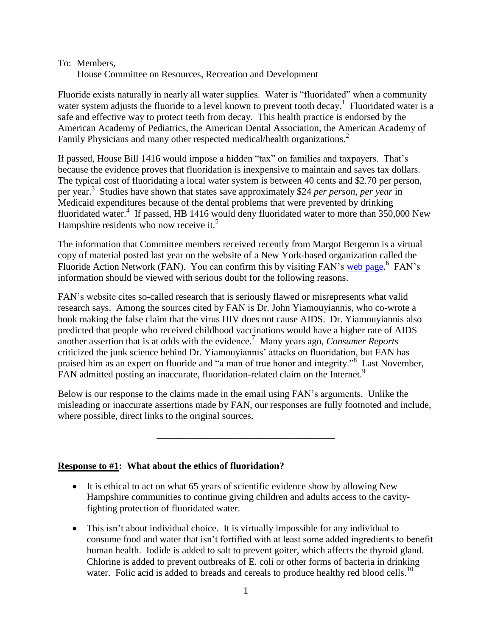### To: Members,

House Committee on Resources, Recreation and Development

Fluoride exists naturally in nearly all water supplies. Water is "fluoridated" when a community water system adjusts the fluoride to a level known to prevent tooth decay.<sup>1</sup> Fluoridated water is a safe and effective way to protect teeth from decay. This health practice is endorsed by the American Academy of Pediatrics, the American Dental Association, the American Academy of Family Physicians and many other respected medical/health organizations.<sup>2</sup>

If passed, House Bill 1416 would impose a hidden "tax" on families and taxpayers. That's because the evidence proves that fluoridation is inexpensive to maintain and saves tax dollars. The typical cost of fluoridating a local water system is between 40 cents and \$2.70 per person, per year.<sup>3</sup> Studies have shown that states save approximately \$24 *per person, per year* in Medicaid expenditures because of the dental problems that were prevented by drinking fluoridated water.<sup>4</sup> If passed, HB 1416 would deny fluoridated water to more than 350,000 New Hampshire residents who now receive it.<sup>5</sup>

The information that Committee members received recently from Margot Bergeron is a virtual copy of material posted last year on the website of a New York-based organization called the Fluoride Action Network (FAN). You can confirm this by visiting FAN's [web page.](http://www.fluoridealert.org/50-reasons.htm)<sup>6</sup> FAN's information should be viewed with serious doubt for the following reasons.

FAN's website cites so-called research that is seriously flawed or misrepresents what valid research says. Among the sources cited by FAN is Dr. John Yiamouyiannis, who co-wrote a book making the false claim that the virus HIV does not cause AIDS. Dr. Yiamouyiannis also predicted that people who received childhood vaccinations would have a higher rate of AIDS another assertion that is at odds with the evidence. <sup>7</sup> Many years ago, *Consumer Reports* criticized the junk science behind Dr. Yiamouyiannis' attacks on fluoridation, but FAN has praised him as an expert on fluoride and "a man of true honor and integrity."<sup>8</sup> Last November, FAN admitted posting an inaccurate, fluoridation-related claim on the Internet.<sup>9</sup>

Below is our response to the claims made in the email using FAN's arguments. Unlike the misleading or inaccurate assertions made by FAN, our responses are fully footnoted and include, where possible, direct links to the original sources.

\_\_\_\_\_\_\_\_\_\_\_\_\_\_\_\_\_\_\_\_\_\_\_\_\_\_\_\_\_\_\_\_\_\_\_\_\_

# **Response to #1: What about the ethics of fluoridation?**

- It is ethical to act on what 65 years of scientific evidence show by allowing New Hampshire communities to continue giving children and adults access to the cavityfighting protection of fluoridated water.
- This isn't about individual choice. It is virtually impossible for any individual to consume food and water that isn't fortified with at least some added ingredients to benefit human health. Iodide is added to salt to prevent goiter, which affects the thyroid gland. Chlorine is added to prevent outbreaks of E. coli or other forms of bacteria in drinking water. Folic acid is added to breads and cereals to produce healthy red blood cells.<sup>10</sup>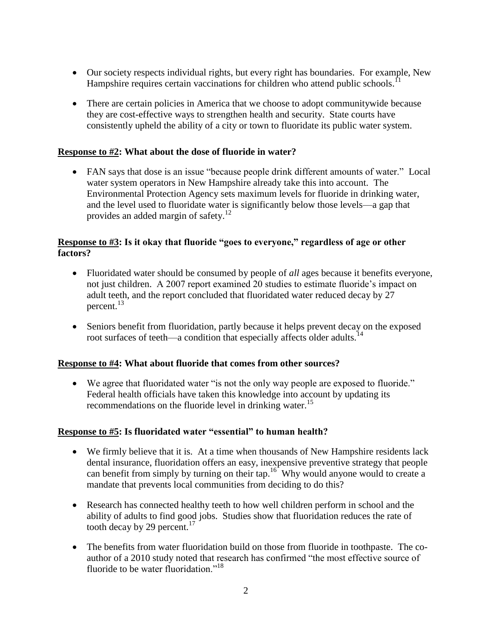- Our society respects individual rights, but every right has boundaries. For example, New Hampshire requires certain vaccinations for children who attend public schools.<sup>11</sup>
- There are certain policies in America that we choose to adopt community wide because they are cost-effective ways to strengthen health and security. State courts have consistently upheld the ability of a city or town to fluoridate its public water system.

### **Response to #2: What about the dose of fluoride in water?**

 FAN says that dose is an issue "because people drink different amounts of water." Local water system operators in New Hampshire already take this into account. The Environmental Protection Agency sets maximum levels for fluoride in drinking water, and the level used to fluoridate water is significantly below those levels—a gap that provides an added margin of safety.<sup>12</sup>

# **Response to #3: Is it okay that fluoride "goes to everyone," regardless of age or other factors?**

- Fluoridated water should be consumed by people of *all* ages because it benefits everyone, not just children. A 2007 report examined 20 studies to estimate fluoride's impact on adult teeth, and the report concluded that fluoridated water reduced decay by 27 percent.<sup>13</sup>
- Seniors benefit from fluoridation, partly because it helps prevent decay on the exposed root surfaces of teeth—a condition that especially affects older adults.<sup>14</sup>

### **Response to #4: What about fluoride that comes from other sources?**

 We agree that fluoridated water "is not the only way people are exposed to fluoride." Federal health officials have taken this knowledge into account by updating its recommendations on the fluoride level in drinking water.<sup>15</sup>

### **Response to #5: Is fluoridated water "essential" to human health?**

- We firmly believe that it is. At a time when thousands of New Hampshire residents lack dental insurance, fluoridation offers an easy, inexpensive preventive strategy that people can benefit from simply by turning on their tap.<sup>16</sup> Why would anyone would to create a mandate that prevents local communities from deciding to do this?
- Research has connected healthy teeth to how well children perform in school and the ability of adults to find good jobs. Studies show that fluoridation reduces the rate of tooth decay by 29 percent. $17$
- The benefits from water fluoridation build on those from fluoride in toothpaste. The coauthor of a 2010 study noted that research has confirmed "the most effective source of fluoride to be water fluoridation."<sup>18</sup>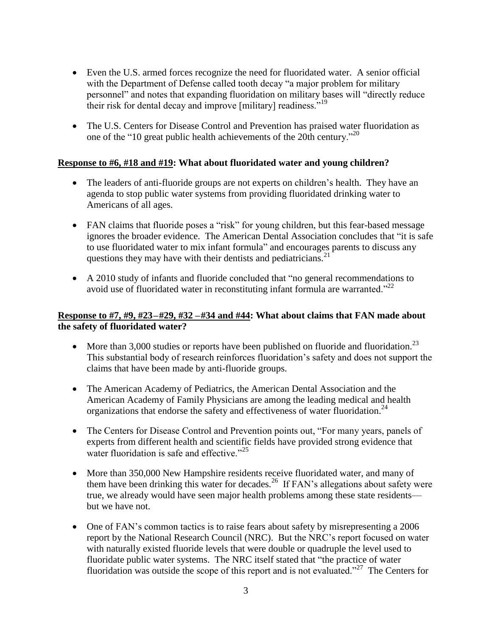- Even the U.S. armed forces recognize the need for fluoridated water. A senior official with the Department of Defense called tooth decay "a major problem for military personnel" and notes that expanding fluoridation on military bases will "directly reduce their risk for dental decay and improve [military] readiness."<sup>19</sup>
- The U.S. Centers for Disease Control and Prevention has praised water fluoridation as one of the "10 great public health achievements of the 20th century."<sup>20</sup>

### **Response to #6, #18 and #19: What about fluoridated water and young children?**

- The leaders of anti-fluoride groups are not experts on children's health. They have an agenda to stop public water systems from providing fluoridated drinking water to Americans of all ages.
- FAN claims that fluoride poses a "risk" for young children, but this fear-based message ignores the broader evidence. The American Dental Association concludes that "it is safe to use fluoridated water to mix infant formula" and encourages parents to discuss any questions they may have with their dentists and pediatricians. $^{21}$
- A 2010 study of infants and fluoride concluded that "no general recommendations to avoid use of fluoridated water in reconstituting infant formula are warranted."<sup>22</sup>

### **Response to #7, #9, #23–#29, #32 –#34 and #44: What about claims that FAN made about the safety of fluoridated water?**

- More than 3,000 studies or reports have been published on fluoride and fluoridation.<sup>23</sup> This substantial body of research reinforces fluoridation's safety and does not support the claims that have been made by anti-fluoride groups.
- The American Academy of Pediatrics, the American Dental Association and the American Academy of Family Physicians are among the leading medical and health organizations that endorse the safety and effectiveness of water fluoridation. 24
- The Centers for Disease Control and Prevention points out, "For many years, panels of experts from different health and scientific fields have provided strong evidence that water fluoridation is safe and effective."<sup>25</sup>
- More than 350,000 New Hampshire residents receive fluoridated water, and many of them have been drinking this water for decades.<sup>26</sup> If FAN's allegations about safety were true, we already would have seen major health problems among these state residents but we have not.
- One of FAN's common tactics is to raise fears about safety by misrepresenting a 2006 report by the National Research Council (NRC). But the NRC's report focused on water with naturally existed fluoride levels that were double or quadruple the level used to fluoridate public water systems. The NRC itself stated that "the practice of water fluoridation was outside the scope of this report and is not evaluated."<sup>27</sup> The Centers for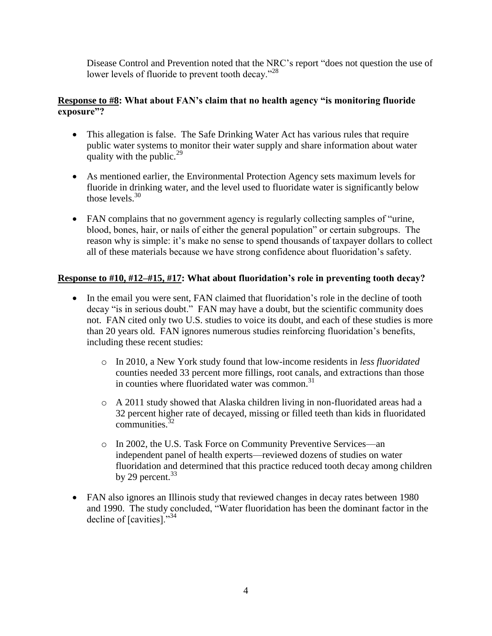Disease Control and Prevention noted that the NRC's report "does not question the use of lower levels of fluoride to prevent tooth decay."<sup>28</sup>

## **Response to #8: What about FAN's claim that no health agency "is monitoring fluoride exposure"?**

- This allegation is false. The Safe Drinking Water Act has various rules that require public water systems to monitor their water supply and share information about water quality with the public. $^{29}$
- As mentioned earlier, the Environmental Protection Agency sets maximum levels for fluoride in drinking water, and the level used to fluoridate water is significantly below those levels.<sup>30</sup>
- FAN complains that no government agency is regularly collecting samples of "urine, blood, bones, hair, or nails of either the general population" or certain subgroups. The reason why is simple: it's make no sense to spend thousands of taxpayer dollars to collect all of these materials because we have strong confidence about fluoridation's safety.

# **Response to #10, #12–#15, #17: What about fluoridation's role in preventing tooth decay?**

- In the email you were sent, FAN claimed that fluoridation's role in the decline of tooth decay "is in serious doubt." FAN may have a doubt, but the scientific community does not. FAN cited only two U.S. studies to voice its doubt, and each of these studies is more than 20 years old. FAN ignores numerous studies reinforcing fluoridation's benefits, including these recent studies:
	- o In 2010, a New York study found that low-income residents in *less fluoridated* counties needed 33 percent more fillings, root canals, and extractions than those in counties where fluoridated water was common. $31$
	- o A 2011 study showed that Alaska children living in non-fluoridated areas had a 32 percent higher rate of decayed, missing or filled teeth than kids in fluoridated communities. $32$
	- o In 2002, the U.S. Task Force on Community Preventive Services—an independent panel of health experts—reviewed dozens of studies on water fluoridation and determined that this practice reduced tooth decay among children by 29 percent. $33$
- FAN also ignores an Illinois study that reviewed changes in decay rates between 1980 and 1990. The study concluded, "Water fluoridation has been the dominant factor in the decline of [cavities]."<sup>34</sup>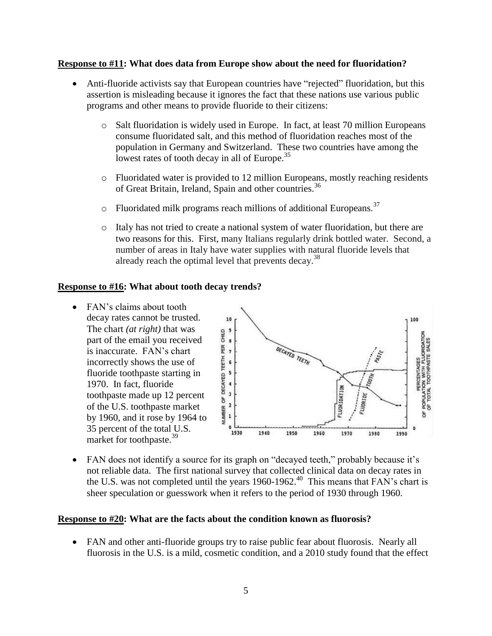### **Response to #11: What does data from Europe show about the need for fluoridation?**

- Anti-fluoride activists say that European countries have "rejected" fluoridation, but this assertion is misleading because it ignores the fact that these nations use various public programs and other means to provide fluoride to their citizens:
	- o Salt fluoridation is widely used in Europe. In fact, at least 70 million Europeans consume fluoridated salt, and this method of fluoridation reaches most of the population in Germany and Switzerland. These two countries have among the lowest rates of tooth decay in all of Europe.<sup>35</sup>
	- o Fluoridated water is provided to 12 million Europeans, mostly reaching residents of Great Britain, Ireland, Spain and other countries.<sup>36</sup>
	- $\circ$  Fluoridated milk programs reach millions of additional Europeans.<sup>37</sup>
	- o Italy has not tried to create a national system of water fluoridation, but there are two reasons for this. First, many Italians regularly drink bottled water. Second, a number of areas in Italy have water supplies with natural fluoride levels that already reach the optimal level that prevents decay.<sup>38</sup>

### **Response to #16: What about tooth decay trends?**

• FAN's claims about tooth decay rates cannot be trusted. The chart *(at right)* that was part of the email you received is inaccurate. FAN's chart incorrectly shows the use of fluoride toothpaste starting in 1970. In fact, fluoride toothpaste made up 12 percent of the U.S. toothpaste market by 1960, and it rose by 1964 to 35 percent of the total U.S. market for toothpaste.<sup>39</sup>



 FAN does not identify a source for its graph on "decayed teeth," probably because it's not reliable data. The first national survey that collected clinical data on decay rates in the U.S. was not completed until the years 1960-1962.<sup>40</sup> This means that FAN's chart is sheer speculation or guesswork when it refers to the period of 1930 through 1960.

#### **Response to #20: What are the facts about the condition known as fluorosis?**

• FAN and other anti-fluoride groups try to raise public fear about fluorosis. Nearly all fluorosis in the U.S. is a mild, cosmetic condition, and a 2010 study found that the effect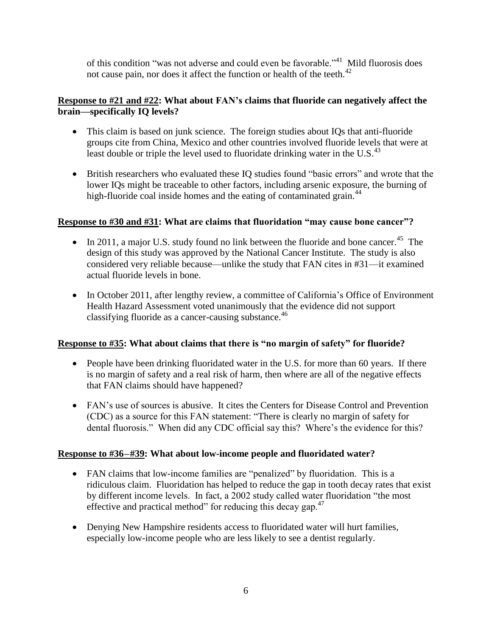of this condition "was not adverse and could even be favorable."<sup>41</sup> Mild fluorosis does not cause pain, nor does it affect the function or health of the teeth.<sup>42</sup>

# **Response to #21 and #22: What about FAN's claims that fluoride can negatively affect the brain—specifically IQ levels?**

- This claim is based on junk science. The foreign studies about IQs that anti-fluoride groups cite from China, Mexico and other countries involved fluoride levels that were at least double or triple the level used to fluoridate drinking water in the U.S. $^{43}$
- British researchers who evaluated these IQ studies found "basic errors" and wrote that the lower IQs might be traceable to other factors, including arsenic exposure, the burning of high-fluoride coal inside homes and the eating of contaminated grain.<sup>44</sup>

# **Response to #30 and #31: What are claims that fluoridation "may cause bone cancer"?**

- In 2011, a major U.S. study found no link between the fluoride and bone cancer.<sup>45</sup> The design of this study was approved by the National Cancer Institute. The study is also considered very reliable because—unlike the study that FAN cites in #31—it examined actual fluoride levels in bone.
- In October 2011, after lengthy review, a committee of California's Office of Environment Health Hazard Assessment voted unanimously that the evidence did not support classifying fluoride as a cancer-causing substance.<sup>46</sup>

# **Response to #35: What about claims that there is "no margin of safety" for fluoride?**

- People have been drinking fluoridated water in the U.S. for more than 60 years. If there is no margin of safety and a real risk of harm, then where are all of the negative effects that FAN claims should have happened?
- FAN's use of sources is abusive. It cites the Centers for Disease Control and Prevention (CDC) as a source for this FAN statement: "There is clearly no margin of safety for dental fluorosis." When did any CDC official say this? Where's the evidence for this?

# **Response to #36–#39: What about low-income people and fluoridated water?**

- FAN claims that low-income families are "penalized" by fluoridation. This is a ridiculous claim. Fluoridation has helped to reduce the gap in tooth decay rates that exist by different income levels. In fact, a 2002 study called water fluoridation "the most effective and practical method" for reducing this decay gap.<sup>47</sup>
- Denying New Hampshire residents access to fluoridated water will hurt families, especially low-income people who are less likely to see a dentist regularly.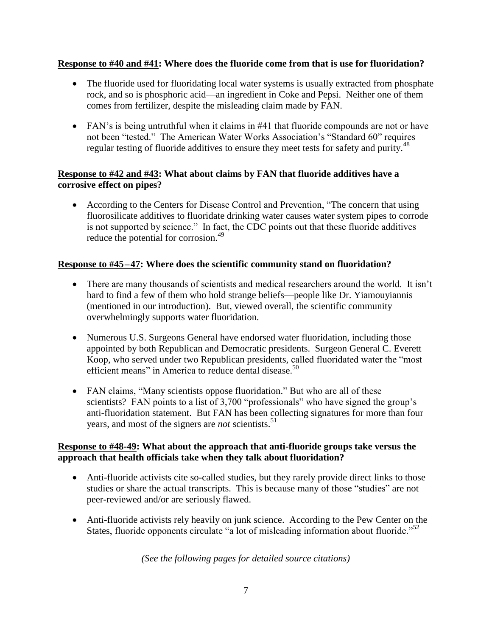## **Response to #40 and #41: Where does the fluoride come from that is use for fluoridation?**

- The fluoride used for fluoridating local water systems is usually extracted from phosphate rock, and so is phosphoric acid—an ingredient in Coke and Pepsi. Neither one of them comes from fertilizer, despite the misleading claim made by FAN.
- FAN's is being untruthful when it claims in #41 that fluoride compounds are not or have not been "tested." The American Water Works Association's "Standard 60" requires regular testing of fluoride additives to ensure they meet tests for safety and purity.<sup>48</sup>

# **Response to #42 and #43: What about claims by FAN that fluoride additives have a corrosive effect on pipes?**

 According to the Centers for Disease Control and Prevention, "The concern that using fluorosilicate additives to fluoridate drinking water causes water system pipes to corrode is not supported by science." In fact, the CDC points out that these fluoride additives reduce the potential for corrosion.<sup>49</sup>

### **Response to #45–47: Where does the scientific community stand on fluoridation?**

- There are many thousands of scientists and medical researchers around the world. It isn't hard to find a few of them who hold strange beliefs—people like Dr. Yiamouyiannis (mentioned in our introduction). But, viewed overall, the scientific community overwhelmingly supports water fluoridation.
- Numerous U.S. Surgeons General have endorsed water fluoridation, including those appointed by both Republican and Democratic presidents. Surgeon General C. Everett Koop, who served under two Republican presidents, called fluoridated water the "most efficient means" in America to reduce dental disease.<sup>50</sup>
- FAN claims, "Many scientists oppose fluoridation." But who are all of these scientists? FAN points to a list of 3,700 "professionals" who have signed the group's anti-fluoridation statement. But FAN has been collecting signatures for more than four years, and most of the signers are *not* scientists.<sup>51</sup>

# **Response to #48-49: What about the approach that anti-fluoride groups take versus the approach that health officials take when they talk about fluoridation?**

- Anti-fluoride activists cite so-called studies, but they rarely provide direct links to those studies or share the actual transcripts. This is because many of those "studies" are not peer-reviewed and/or are seriously flawed.
- Anti-fluoride activists rely heavily on junk science. According to the Pew Center on the States, fluoride opponents circulate "a lot of misleading information about fluoride."<sup>52</sup>

*(See the following pages for detailed source citations)*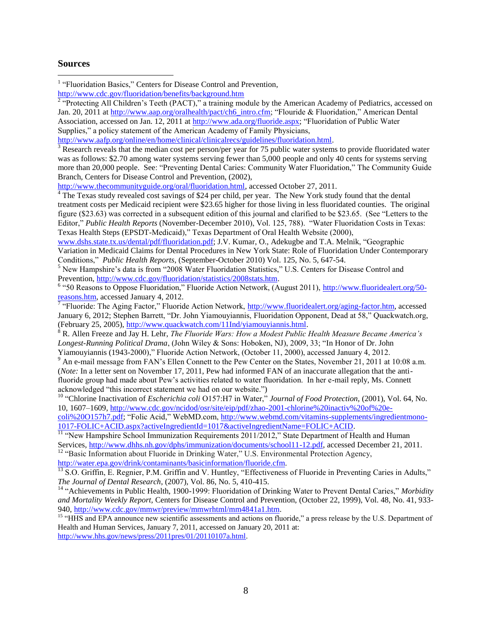#### **Sources**

 $\overline{a}$ 

<sup>1</sup> "Fluoridation Basics," Centers for Disease Control and Prevention,

<http://www.cdc.gov/fluoridation/benefits/background.htm><br><sup>2</sup> "Protecting All Children's Teeth (PACT)," a training module by the American Academy of Pediatrics, accessed on Jan. 20, 2011 a[t http://www.aap.org/oralhealth/pact/ch6\\_intro.cfm;](http://www.aap.org/oralhealth/pact/ch6_intro.cfm) "Flouride & Fluoridation," American Dental Association, accessed on Jan. 12, 2011 a[t http://www.ada.org/fluoride.aspx;](http://www.ada.org/fluoride.aspx) "Fluoridation of Public Water Supplies," a policy statement of the American Academy of Family Physicians,

[http://www.aafp.org/online/en/home/clinical/clinicalrecs/guidelines/fluoridation.html.](http://www.aafp.org/online/en/home/clinical/clinicalrecs/guidelines/fluoridation.html)

 $\frac{100 \mu m \text{ w w and p.v.}}{3 \text{ Research reveals that the median cost per person/per year for 75 public water systems to provide fluoridated water}}$ was as follows: \$2.70 among water systems serving fewer than 5,000 people and only 40 cents for systems serving more than 20,000 people. See: "Preventing Dental Caries: Community Water Fluoridation," The Community Guide Branch, Centers for Disease Control and Prevention, (2002),

[http://www.thecommunityguide.org/oral/fluoridation.html,](http://www.thecommunityguide.org/oral/fluoridation.html) accessed October 27, 2011.

<sup>4</sup> The Texas study revealed cost savings of \$24 per child, per year. The New York study found that the dental treatment costs per Medicaid recipient were \$23.65 higher for those living in less fluoridated counties. The original figure (\$23.63) was corrected in a subsequent edition of this journal and clarified to be \$23.65. (See "Letters to the Editor," *Public Health Reports* (November-December 2010), Vol. 125, 788). "Water Fluoridation Costs in Texas: Texas Health Steps (EPSDT-Medicaid)," Texas Department of Oral Health Website (2000),

[www.dshs.state.tx.us/dental/pdf/fluoridation.pdf;](http://www.dshs.state.tx.us/dental/pdf/fluoridation.pdf) J.V. Kumar, O., [Adekugbe](http://www.ncbi.nlm.nih.gov/pubmed?term=%22Adekugbe%20O%22%5BAuthor%5D) and T.A. [Melnik,](http://www.ncbi.nlm.nih.gov/pubmed?term=%22Melnik%20TA%22%5BAuthor%5D) "Geographic Variation in Medicaid Claims for Dental Procedures in New York State: Role of Fluoridation Under Contemporary Conditions," *Public Health Reports*, (September-October 2010) Vol. 125, No. 5, 647-54.

<sup>5</sup> New Hampshire's data is from "2008 Water Fluoridation Statistics," U.S. Centers for Disease Control and Prevention, [http://www.cdc.gov/fluoridation/statistics/2008stats.htm.](http://www.cdc.gov/fluoridation/statistics/2008stats.htm)

<sup>6</sup> "50 Reasons to Oppose Fluoridation," Fluoride Action Network, (August 2011), [http://www.fluoridealert.org/50](http://www.fluoridealert.org/50-reasons.htm) [reasons.htm,](http://www.fluoridealert.org/50-reasons.htm) accessed January 4, 2012.<br><sup>7</sup> "Fluoride: The Aging Factor," Fluoride Action Network, <u>http://www.fluoridealert.org/aging-factor.htm,</u> accessed

January 6, 2012; Stephen Barrett, "Dr. John Yiamouyiannis, Fluoridation Opponent, Dead at 58," Quackwatch.org, (February 25, 2005), [http://www.quackwatch.com/11Ind/yiamouyiannis.html.](http://www.quackwatch.com/11Ind/yiamouyiannis.html)

<sup>8</sup> R. Allen Freeze and Jay H. Lehr, *The Fluoride Wars: How a Modest Public Health Measure Became America's Longest-Running Political Drama*, (John Wiley & Sons: Hoboken, NJ), 2009, 33; "In Honor of Dr. John Yiamouyiannis (1943-2000)," Fluoride Action Network, (October 11, 2000), accessed January 4, 2012.

<sup>9</sup> An e-mail message from FAN's Ellen Connett to the Pew Center on the States, November 21, 2011 at 10:08 a.m. (*Note:* In a letter sent on November 17, 2011, Pew had informed FAN of an inaccurate allegation that the antifluoride group had made about Pew's activities related to water fluoridation. In her e-mail reply, Ms. Connett acknowledged "this incorrect statement we had on our website.")

<sup>10</sup> "Chlorine Inactivation of *Escherichia coli* O157:H7 in Water," *Journal of Food Protection*, (2001), Vol. 64, No. 10, 1607–1609, [http://www.cdc.gov/ncidod/osr/site/eip/pdf/zhao-2001-chlorine%20inactiv%20of%20e-](http://www.cdc.gov/ncidod/osr/site/eip/pdf/zhao-2001-chlorine%20inactiv%20of%20e-coli%20O157h7.pdf)

[coli%20O157h7.pdf;](http://www.cdc.gov/ncidod/osr/site/eip/pdf/zhao-2001-chlorine%20inactiv%20of%20e-coli%20O157h7.pdf) "Folic Acid," WebMD.com[, http://www.webmd.com/vitamins-supplements/ingredientmono-](http://www.webmd.com/vitamins-supplements/ingredientmono-1017-FOLIC+ACID.aspx?activeIngredientId=1017&activeIngredientName=FOLIC+ACID)[1017-FOLIC+ACID.aspx?activeIngredientId=1017&activeIngredientName=FOLIC+ACID.](http://www.webmd.com/vitamins-supplements/ingredientmono-1017-FOLIC+ACID.aspx?activeIngredientId=1017&activeIngredientName=FOLIC+ACID)

<sup>11</sup> "New Hampshire School Immunization Requirements 2011/2012," State Department of Health and Human Services, [http://www.dhhs.nh.gov/dphs/immunization/documents/school11-12.pdf,](http://www.dhhs.nh.gov/dphs/immunization/documents/school11-12.pdf) accessed December 21, 2011.

<sup>12</sup> "Basic Information about Fluoride in Drinking Water," U.S. Environmental Protection Agency, [http://water.epa.gov/drink/contaminants/basicinformation/fluoride.cfm.](http://water.epa.gov/drink/contaminants/basicinformation/fluoride.cfm)

<sup>13</sup> S.O. Griffin, E. Regnier, P.M. Griffin and V. Huntley, "Effectiveness of Fluoride in Preventing Caries in Adults," *The Journal of Dental Research*, (2007), Vol. 86, No. 5, 410-415.

<sup>14</sup> "Achievements in Public Health, 1900-1999: Fluoridation of Drinking Water to Prevent Dental Caries," *Morbidity and Mortality Weekly Report,* Centers for Disease Control and Prevention, (October 22, 1999), Vol. 48, No. 41, 933- 940, [http://www.cdc.gov/mmwr/preview/mmwrhtml/mm4841a1.htm.](http://www.cdc.gov/mmwr/preview/mmwrhtml/mm4841a1.htm)

<sup>15</sup> "HHS and EPA announce new scientific assessments and actions on fluoride," a press release by the U.S. Department of Health and Human Services, January 7, 2011, accessed on January 20, 2011 at: [http://www.hhs.gov/news/press/2011pres/01/20110107a.html.](http://www.hhs.gov/news/press/2011pres/01/20110107a.html)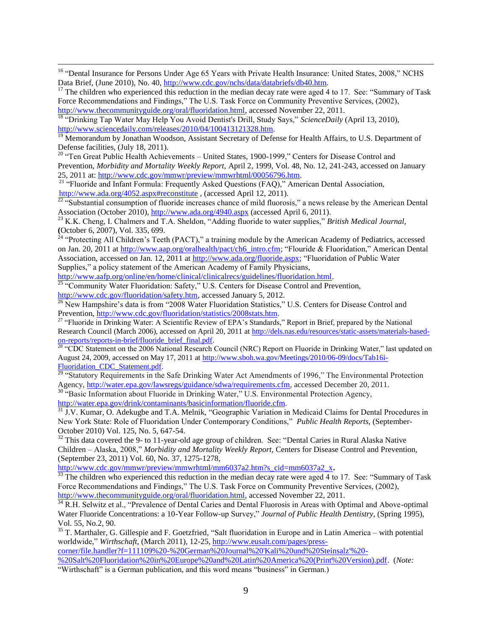<sup>16</sup> "Dental Insurance for Persons Under Age 65 Years with Private Health Insurance: United States, 2008," NCHS Data Brief, (June 2010), No. 40, [http://www.cdc.gov/nchs/data/databriefs/db40.htm.](http://www.cdc.gov/nchs/data/databriefs/db40.htm)

 $17$  The children who experienced this reduction in the median decay rate were aged 4 to 17. See: "Summary of Task Force Recommendations and Findings," The U.S. Task Force on Community Preventive Services, (2002), [http://www.thecommunityguide.org/oral/fluoridation.html,](http://www.thecommunityguide.org/oral/fluoridation.html) accessed November 22, 2011.

<sup>18</sup> "Drinking Tap Water May Help You Avoid Dentist's Drill, Study Says," *ScienceDaily* (April 13, 2010), [http://www.sciencedaily.com/releases/2010/04/100413121328.htm.](http://www.sciencedaily.com/releases/2010/04/100413121328.htm)

<sup>19</sup> Memorandum by Jonathan Woodson, Assistant Secretary of Defense for Health Affairs, to U.S. Department of Defense facilities, (July 18, 2011).

<sup>20</sup> "Ten Great Public Health Achievements – United States, 1900-1999," Centers for Disease Control and Prevention, *Morbidity and Mortality Weekly Report,* April 2, 1999, Vol. 48, No. 12, 241-243, accessed on January 25, 2011 at: [http://www.cdc.gov/mmwr/preview/mmwrhtml/00056796.htm.](http://www.cdc.gov/mmwr/preview/mmwrhtml/00056796.htm)

<sup>21</sup> "Fluoride and Infant Formula: Frequently Asked Questions (FAQ)," American Dental Association, <http://www.ada.org/4052.aspx#reconstitute>, (accessed April 12, 2011).

 $^{22}$  "Substantial consumption of fluoride increases chance of mild fluorosis," a news release by the American Dental Association (October 2010),<http://www.ada.org/4940.aspx> (accessed April 6, 2011).

<sup>23</sup> K.K. Cheng, I. Chalmers and T.A. Sheldon, "Adding fluoride to water supplies," *British Medical Journal,* **(**October 6, 2007), Vol. 335, 699.

<sup>24</sup> "Protecting All Children's Teeth (PACT)," a training module by the American Academy of Pediatrics, accessed on Jan. 20, 2011 at [http://www.aap.org/oralhealth/pact/ch6\\_intro.cfm;](http://www.aap.org/oralhealth/pact/ch6_intro.cfm) "Flouride & Fluoridation," American Dental Association, accessed on Jan. 12, 2011 a[t http://www.ada.org/fluoride.aspx;](http://www.ada.org/fluoride.aspx) "Fluoridation of Public Water Supplies," a policy statement of the American Academy of Family Physicians,

[http://www.aafp.org/online/en/home/clinical/clinicalrecs/guidelines/fluoridation.html.](http://www.aafp.org/online/en/home/clinical/clinicalrecs/guidelines/fluoridation.html)

 $\overline{a}$ 

<sup>25</sup> "Community Water Fluoridation: Safety," U.S. Centers for Disease Control and Prevention, [http://www.cdc.gov/fluoridation/safety.htm,](http://www.cdc.gov/fluoridation/safety.htm) accessed January 5, 2012.

<sup>26</sup> New Hampshire's data is from "2008 Water Fluoridation Statistics," U.S. Centers for Disease Control and Prevention, [http://www.cdc.gov/fluoridation/statistics/2008stats.htm.](http://www.cdc.gov/fluoridation/statistics/2008stats.htm)

<sup>27</sup> "Fluoride in Drinking Water: A Scientific Review of EPA's Standards," Report in Brief, prepared by the National Research Council (March 2006), accessed on April 20, 2011 a[t http://dels.nas.edu/resources/static-assets/materials-based](http://dels.nas.edu/resources/static-assets/materials-based-on-reports/reports-in-brief/fluoride_brief_final.pdf)[on-reports/reports-in-brief/fluoride\\_brief\\_final.pdf.](http://dels.nas.edu/resources/static-assets/materials-based-on-reports/reports-in-brief/fluoride_brief_final.pdf)

<sup>28</sup> "CDC Statement on the 2006 National Research Council (NRC) Report on Fluoride in Drinking Water," last updated on August 24, 2009, accessed on May 17, 2011 at [http://www.sboh.wa.gov/Meetings/2010/06-09/docs/Tab16i-](http://www.sboh.wa.gov/Meetings/2010/06-09/docs/Tab16i-Fluoridation_CDC_Statement.pdf)[Fluoridation\\_CDC\\_Statement.pdf.](http://www.sboh.wa.gov/Meetings/2010/06-09/docs/Tab16i-Fluoridation_CDC_Statement.pdf)

<sup>29</sup> "Statutory Requirements in the Safe Drinking Water Act Amendments of 1996," The Environmental Protection Agency, [http://water.epa.gov/lawsregs/guidance/sdwa/requirements.cfm,](http://water.epa.gov/lawsregs/guidance/sdwa/requirements.cfm) accessed December 20, 2011.

<sup>30</sup> "Basic Information about Fluoride in Drinking Water," U.S. Environmental Protection Agency, [http://water.epa.gov/drink/contaminants/basicinformation/fluoride.cfm.](http://water.epa.gov/drink/contaminants/basicinformation/fluoride.cfm)

 $31 \text{ J.V. Kumar},$  O. Adekugbe and T.A. Melnik, "Geographic Variation in Medicaid Claims for Dental Procedures in New York State: Role of Fluoridation Under Contemporary Conditions," *Public Health Reports*, (September-October 2010) Vol. 125, No. 5, 647-54.

 $32$  This data covered the 9- to 11-year-old age group of children. See: "Dental Caries in Rural Alaska Native Children – Alaska, 2008," *Morbidity and Mortality Weekly Report,* Centers for Disease Control and Prevention, (September 23, 2011) Vol. 60, No. 37, 1275-1278,

[http://www.cdc.gov/mmwr/preview/mmwrhtml/mm6037a2.htm?s\\_cid=mm6037a2\\_x](http://www.cdc.gov/mmwr/preview/mmwrhtml/mm6037a2.htm?s_cid=mm6037a2_x)**.**

 $\frac{33}{33}$  The children who experienced this reduction in the median decay rate were aged 4 to 17. See: "Summary of Task Force Recommendations and Findings," The U.S. Task Force on Community Preventive Services, (2002), [http://www.thecommunityguide.org/oral/fluoridation.html,](http://www.thecommunityguide.org/oral/fluoridation.html) accessed November 22, 2011.

<sup>34</sup> R.H. Selwitz et al., "Prevalence of Dental Caries and Dental Fluorosis in Areas with Optimal and Above-optimal Water Fluoride Concentrations: a 10-Year Follow-up Survey," *Journal of Public Health Dentistry*, (Spring 1995), Vol. 55, No.2, 90.

<sup>35</sup> T. Marthaler, G. Gillespie and F. Goetzfried, "Salt fluoridation in Europe and in Latin America – with potential worldwide," *Wirthschaft*, (March 2011), 12-25[, http://www.eusalt.com/pages/press](http://www.eusalt.com/pages/press-corner/file.handler?f=111109%20-%20German%20Journal%20)[corner/file.handler?f=111109%20-%20German%20Journal%20'Kali%20und%20Steinsalz'%20-](http://www.eusalt.com/pages/press-corner/file.handler?f=111109%20-%20German%20Journal%20)

[%20Salt%20Fluoridation%20in%20Europe%20and%20Latin%20America%20\(Print%20Version\).pdf.](http://www.eusalt.com/pages/press-corner/file.handler?f=111109%20-%20German%20Journal%20) (*Note:* "Wirthschaft" is a German publication, and this word means "business" in German.)